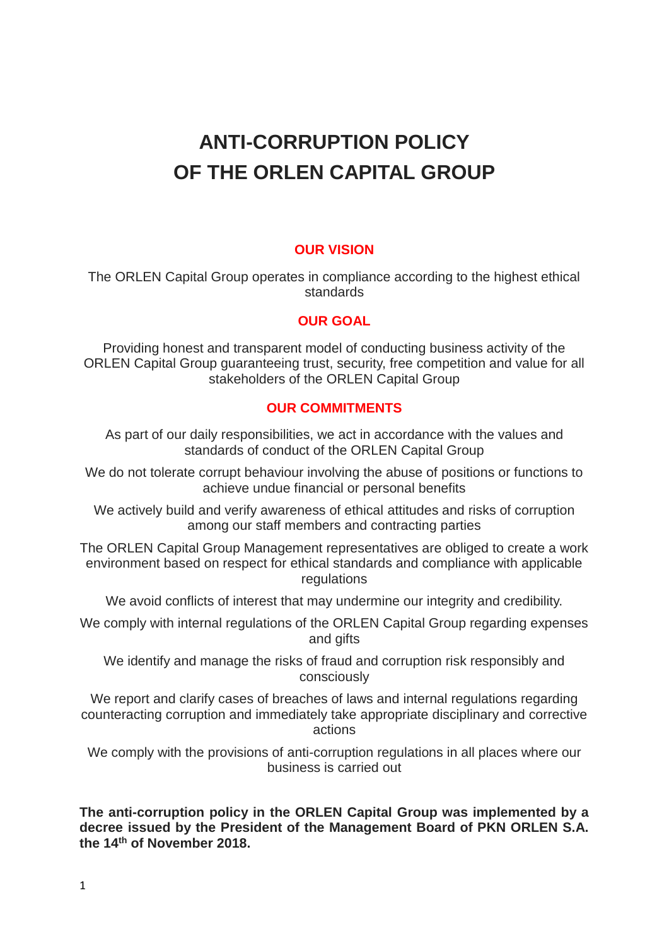# **ANTI-CORRUPTION POLICY OF THE ORLEN CAPITAL GROUP**

# **OUR VISION**

The ORLEN Capital Group operates in compliance according to the highest ethical standards

## **OUR GOAL**

Providing honest and transparent model of conducting business activity of the ORLEN Capital Group guaranteeing trust, security, free competition and value for all stakeholders of the ORLEN Capital Group

#### **OUR COMMITMENTS**

As part of our daily responsibilities, we act in accordance with the values and standards of conduct of the ORLEN Capital Group

We do not tolerate corrupt behaviour involving the abuse of positions or functions to achieve undue financial or personal benefits

We actively build and verify awareness of ethical attitudes and risks of corruption among our staff members and contracting parties

The ORLEN Capital Group Management representatives are obliged to create a work environment based on respect for ethical standards and compliance with applicable regulations

We avoid conflicts of interest that may undermine our integrity and credibility.

We comply with internal regulations of the ORLEN Capital Group regarding expenses and gifts

We identify and manage the risks of fraud and corruption risk responsibly and consciously

We report and clarify cases of breaches of laws and internal regulations regarding counteracting corruption and immediately take appropriate disciplinary and corrective actions

We comply with the provisions of anti-corruption regulations in all places where our business is carried out

**The anti-corruption policy in the ORLEN Capital Group was implemented by a decree issued by the President of the Management Board of PKN ORLEN S.A. the 14th of November 2018.**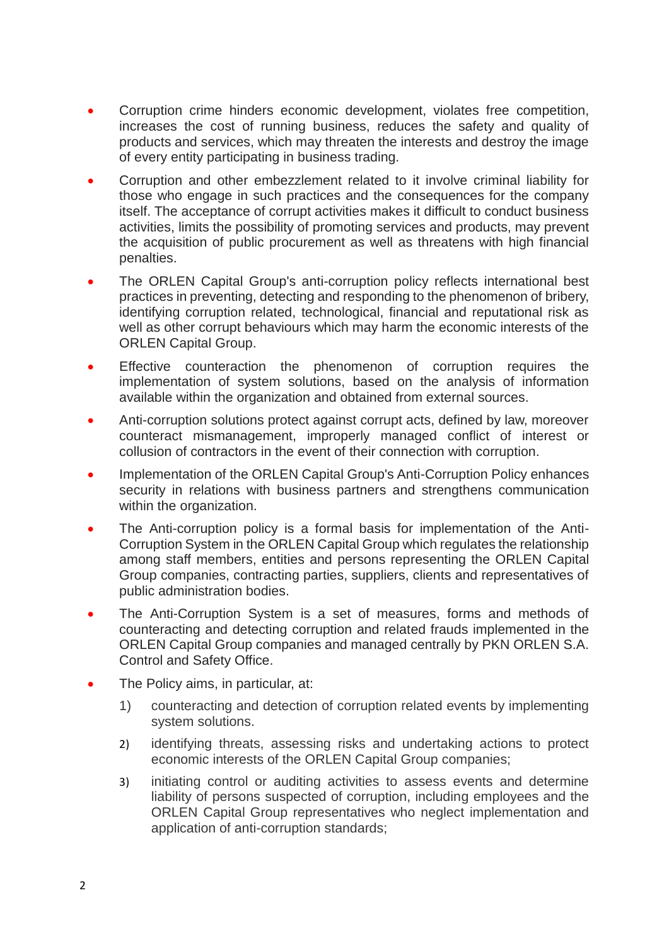- Corruption crime hinders economic development, violates free competition, increases the cost of running business, reduces the safety and quality of products and services, which may threaten the interests and destroy the image of every entity participating in business trading.
- Corruption and other embezzlement related to it involve criminal liability for those who engage in such practices and the consequences for the company itself. The acceptance of corrupt activities makes it difficult to conduct business activities, limits the possibility of promoting services and products, may prevent the acquisition of public procurement as well as threatens with high financial penalties.
- The ORLEN Capital Group's anti-corruption policy reflects international best practices in preventing, detecting and responding to the phenomenon of bribery, identifying corruption related, technological, financial and reputational risk as well as other corrupt behaviours which may harm the economic interests of the ORLEN Capital Group.
- Effective counteraction the phenomenon of corruption requires the implementation of system solutions, based on the analysis of information available within the organization and obtained from external sources.
- Anti-corruption solutions protect against corrupt acts, defined by law, moreover counteract mismanagement, improperly managed conflict of interest or collusion of contractors in the event of their connection with corruption.
- Implementation of the ORLEN Capital Group's Anti-Corruption Policy enhances security in relations with business partners and strengthens communication within the organization.
- The Anti-corruption policy is a formal basis for implementation of the Anti-Corruption System in the ORLEN Capital Group which regulates the relationship among staff members, entities and persons representing the ORLEN Capital Group companies, contracting parties, suppliers, clients and representatives of public administration bodies.
- The Anti-Corruption System is a set of measures, forms and methods of counteracting and detecting corruption and related frauds implemented in the ORLEN Capital Group companies and managed centrally by PKN ORLEN S.A. Control and Safety Office.
- The Policy aims, in particular, at:
	- 1) counteracting and detection of corruption related events by implementing system solutions.
	- 2) identifying threats, assessing risks and undertaking actions to protect economic interests of the ORLEN Capital Group companies;
	- 3) initiating control or auditing activities to assess events and determine liability of persons suspected of corruption, including employees and the ORLEN Capital Group representatives who neglect implementation and application of anti-corruption standards;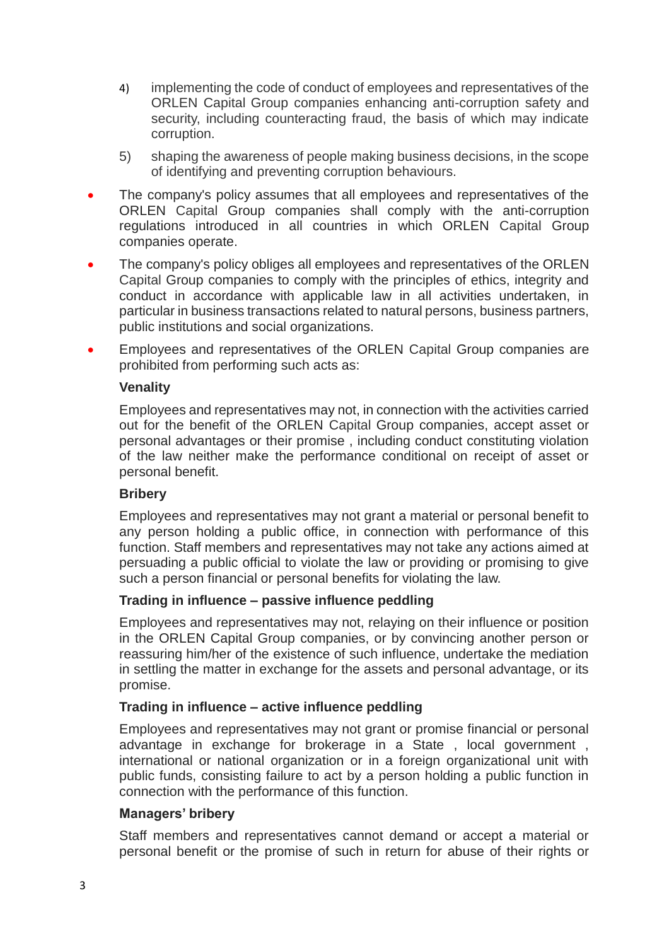- 4) implementing the code of conduct of employees and representatives of the ORLEN Capital Group companies enhancing anti-corruption safety and security, including counteracting fraud, the basis of which may indicate corruption.
- 5) shaping the awareness of people making business decisions, in the scope of identifying and preventing corruption behaviours.
- The company's policy assumes that all employees and representatives of the ORLEN Capital Group companies shall comply with the anti-corruption regulations introduced in all countries in which ORLEN Capital Group companies operate.
- The company's policy obliges all employees and representatives of the ORLEN Capital Group companies to comply with the principles of ethics, integrity and conduct in accordance with applicable law in all activities undertaken, in particular in business transactions related to natural persons, business partners, public institutions and social organizations.
- Employees and representatives of the ORLEN Capital Group companies are prohibited from performing such acts as:

## **Venality**

Employees and representatives may not, in connection with the activities carried out for the benefit of the ORLEN Capital Group companies, accept asset or personal advantages or their promise , including conduct constituting violation of the law neither make the performance conditional on receipt of asset or personal benefit.

## **Bribery**

Employees and representatives may not grant a material or personal benefit to any person holding a public office, in connection with performance of this function. Staff members and representatives may not take any actions aimed at persuading a public official to violate the law or providing or promising to give such a person financial or personal benefits for violating the law.

## **Trading in influence – passive influence peddling**

Employees and representatives may not, relaying on their influence or position in the ORLEN Capital Group companies, or by convincing another person or reassuring him/her of the existence of such influence, undertake the mediation in settling the matter in exchange for the assets and personal advantage, or its promise.

## **Trading in influence – active influence peddling**

Employees and representatives may not grant or promise financial or personal advantage in exchange for brokerage in a State , local government , international or national organization or in a foreign organizational unit with public funds, consisting failure to act by a person holding a public function in connection with the performance of this function.

#### **Managers' bribery**

Staff members and representatives cannot demand or accept a material or personal benefit or the promise of such in return for abuse of their rights or